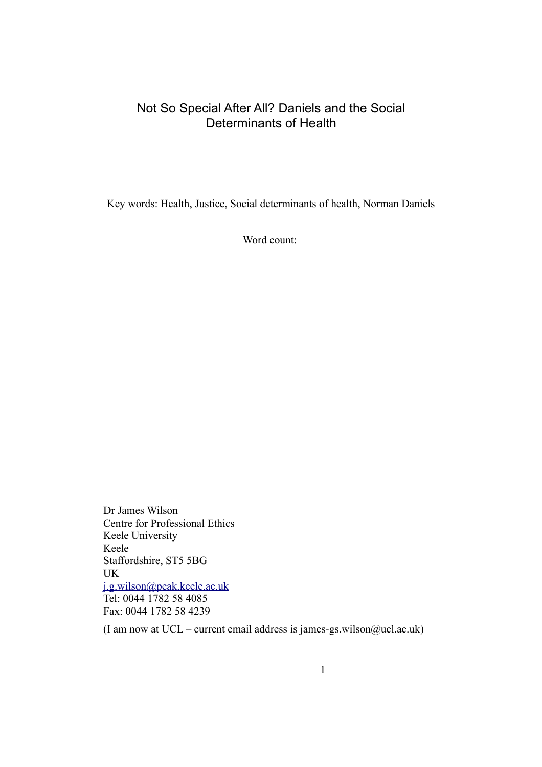### Not So Special After All? Daniels and the Social Determinants of Health

Key words: Health, Justice, Social determinants of health, Norman Daniels

Word count:

Dr James Wilson Centre for Professional Ethics Keele University Keele Staffordshire, ST5 5BG UK [j.g.wilson@peak.keele.ac.uk](mailto:j.g.wilson@peak.keele.ac.uk) Tel: 0044 1782 58 4085 Fax: 0044 1782 58 4239

(I am now at UCL – current email address is james-gs.wilson@ucl.ac.uk)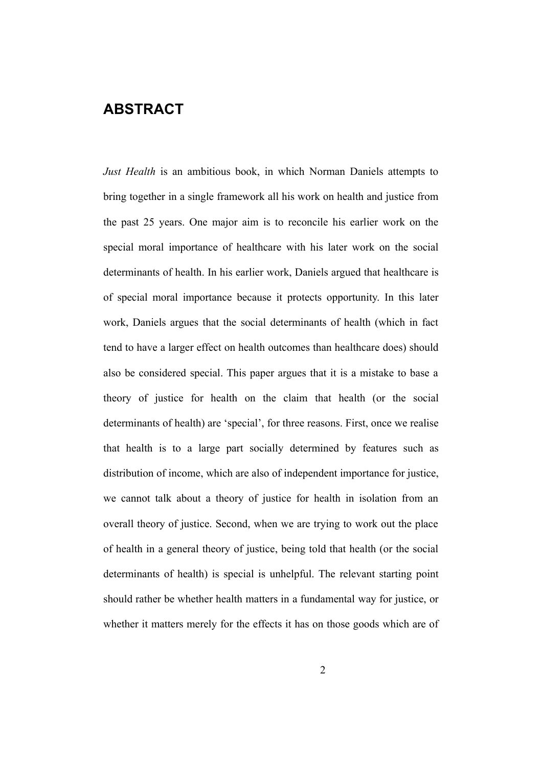### **ABSTRACT**

*Just Health* is an ambitious book, in which Norman Daniels attempts to bring together in a single framework all his work on health and justice from the past 25 years. One major aim is to reconcile his earlier work on the special moral importance of healthcare with his later work on the social determinants of health. In his earlier work, Daniels argued that healthcare is of special moral importance because it protects opportunity. In this later work, Daniels argues that the social determinants of health (which in fact tend to have a larger effect on health outcomes than healthcare does) should also be considered special. This paper argues that it is a mistake to base a theory of justice for health on the claim that health (or the social determinants of health) are 'special', for three reasons. First, once we realise that health is to a large part socially determined by features such as distribution of income, which are also of independent importance for justice, we cannot talk about a theory of justice for health in isolation from an overall theory of justice. Second, when we are trying to work out the place of health in a general theory of justice, being told that health (or the social determinants of health) is special is unhelpful. The relevant starting point should rather be whether health matters in a fundamental way for justice, or whether it matters merely for the effects it has on those goods which are of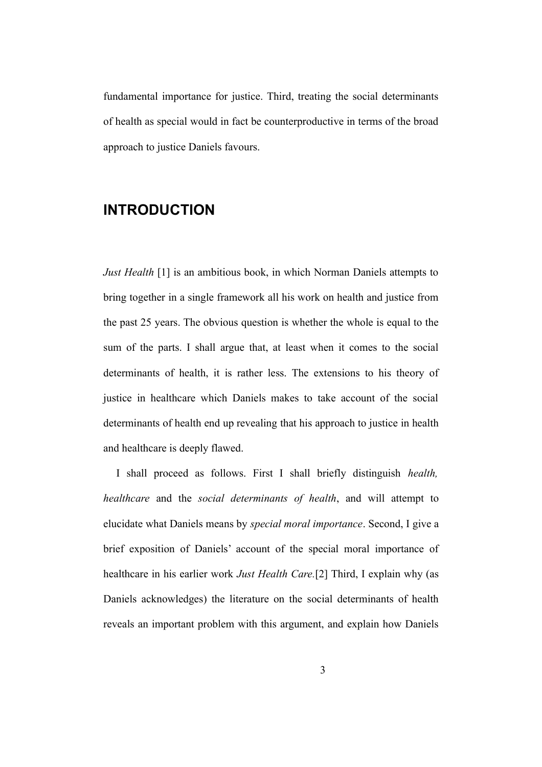fundamental importance for justice. Third, treating the social determinants of health as special would in fact be counterproductive in terms of the broad approach to justice Daniels favours.

## **INTRODUCTION**

*Just Health* [1] is an ambitious book, in which Norman Daniels attempts to bring together in a single framework all his work on health and justice from the past 25 years. The obvious question is whether the whole is equal to the sum of the parts. I shall argue that, at least when it comes to the social determinants of health, it is rather less. The extensions to his theory of justice in healthcare which Daniels makes to take account of the social determinants of health end up revealing that his approach to justice in health and healthcare is deeply flawed.

I shall proceed as follows. First I shall briefly distinguish *health, healthcare* and the *social determinants of health*, and will attempt to elucidate what Daniels means by *special moral importance*. Second, I give a brief exposition of Daniels' account of the special moral importance of healthcare in his earlier work *Just Health Care.*[2] Third, I explain why (as Daniels acknowledges) the literature on the social determinants of health reveals an important problem with this argument, and explain how Daniels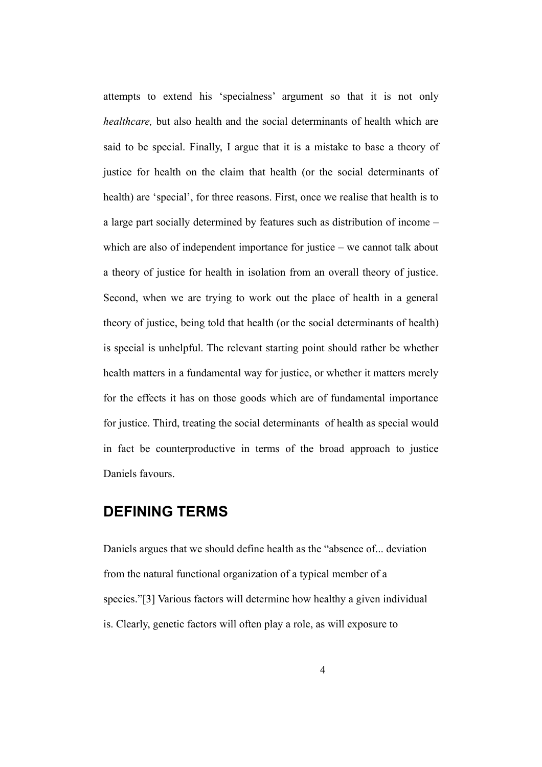attempts to extend his 'specialness' argument so that it is not only *healthcare,* but also health and the social determinants of health which are said to be special. Finally, I argue that it is a mistake to base a theory of justice for health on the claim that health (or the social determinants of health) are 'special', for three reasons. First, once we realise that health is to a large part socially determined by features such as distribution of income – which are also of independent importance for justice – we cannot talk about a theory of justice for health in isolation from an overall theory of justice. Second, when we are trying to work out the place of health in a general theory of justice, being told that health (or the social determinants of health) is special is unhelpful. The relevant starting point should rather be whether health matters in a fundamental way for justice, or whether it matters merely for the effects it has on those goods which are of fundamental importance for justice. Third, treating the social determinants of health as special would in fact be counterproductive in terms of the broad approach to justice Daniels favours.

### **DEFINING TERMS**

Daniels argues that we should define health as the "absence of... deviation from the natural functional organization of a typical member of a species."[3] Various factors will determine how healthy a given individual is. Clearly, genetic factors will often play a role, as will exposure to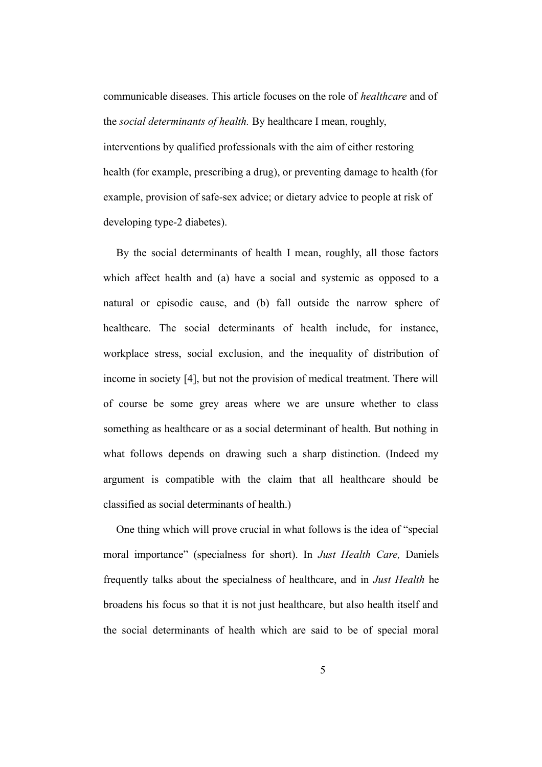communicable diseases. This article focuses on the role of *healthcare* and of the *social determinants of health.* By healthcare I mean, roughly, interventions by qualified professionals with the aim of either restoring health (for example, prescribing a drug), or preventing damage to health (for example, provision of safe-sex advice; or dietary advice to people at risk of developing type-2 diabetes).

By the social determinants of health I mean, roughly, all those factors which affect health and (a) have a social and systemic as opposed to a natural or episodic cause, and (b) fall outside the narrow sphere of healthcare. The social determinants of health include, for instance, workplace stress, social exclusion, and the inequality of distribution of income in society [4], but not the provision of medical treatment. There will of course be some grey areas where we are unsure whether to class something as healthcare or as a social determinant of health. But nothing in what follows depends on drawing such a sharp distinction. (Indeed my argument is compatible with the claim that all healthcare should be classified as social determinants of health.)

One thing which will prove crucial in what follows is the idea of "special moral importance" (specialness for short). In *Just Health Care,* Daniels frequently talks about the specialness of healthcare, and in *Just Health* he broadens his focus so that it is not just healthcare, but also health itself and the social determinants of health which are said to be of special moral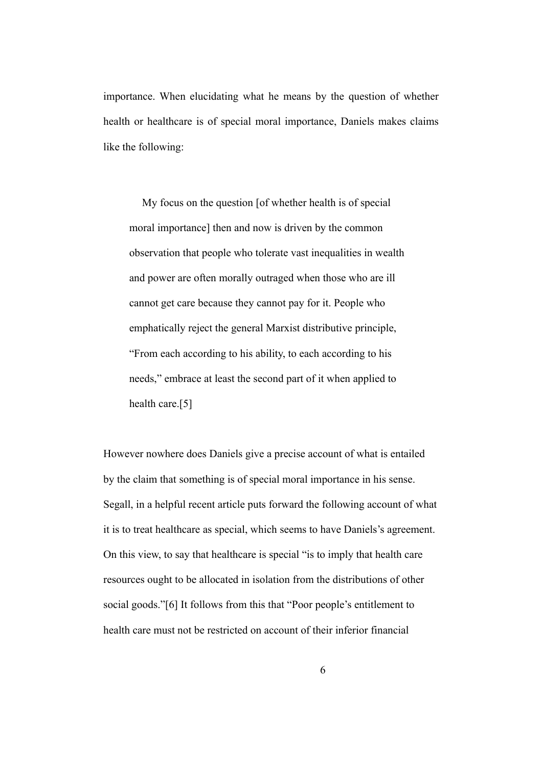importance. When elucidating what he means by the question of whether health or healthcare is of special moral importance, Daniels makes claims like the following:

My focus on the question [of whether health is of special moral importance] then and now is driven by the common observation that people who tolerate vast inequalities in wealth and power are often morally outraged when those who are ill cannot get care because they cannot pay for it. People who emphatically reject the general Marxist distributive principle, "From each according to his ability, to each according to his needs," embrace at least the second part of it when applied to health care.[5]

However nowhere does Daniels give a precise account of what is entailed by the claim that something is of special moral importance in his sense. Segall, in a helpful recent article puts forward the following account of what it is to treat healthcare as special, which seems to have Daniels's agreement. On this view, to say that healthcare is special "is to imply that health care resources ought to be allocated in isolation from the distributions of other social goods."[6] It follows from this that "Poor people's entitlement to health care must not be restricted on account of their inferior financial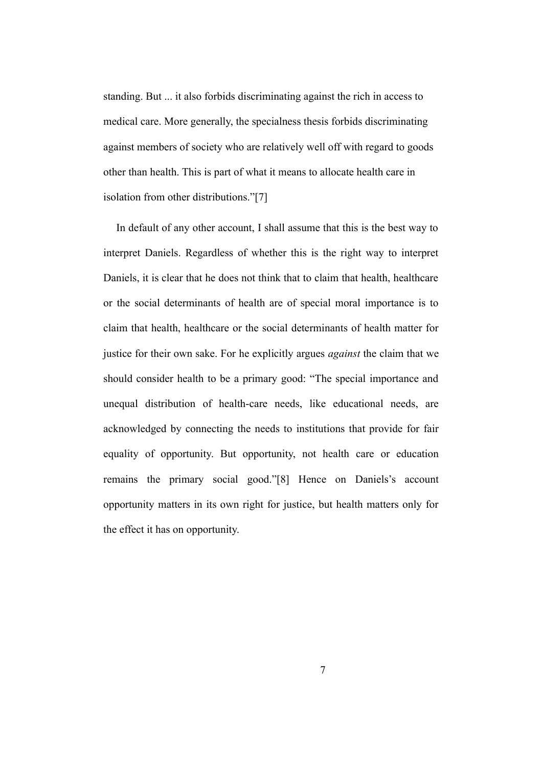standing. But ... it also forbids discriminating against the rich in access to medical care. More generally, the specialness thesis forbids discriminating against members of society who are relatively well off with regard to goods other than health. This is part of what it means to allocate health care in isolation from other distributions."[7]

In default of any other account, I shall assume that this is the best way to interpret Daniels. Regardless of whether this is the right way to interpret Daniels, it is clear that he does not think that to claim that health, healthcare or the social determinants of health are of special moral importance is to claim that health, healthcare or the social determinants of health matter for justice for their own sake. For he explicitly argues *against* the claim that we should consider health to be a primary good: "The special importance and unequal distribution of health-care needs, like educational needs, are acknowledged by connecting the needs to institutions that provide for fair equality of opportunity. But opportunity, not health care or education remains the primary social good."[8] Hence on Daniels's account opportunity matters in its own right for justice, but health matters only for the effect it has on opportunity.

7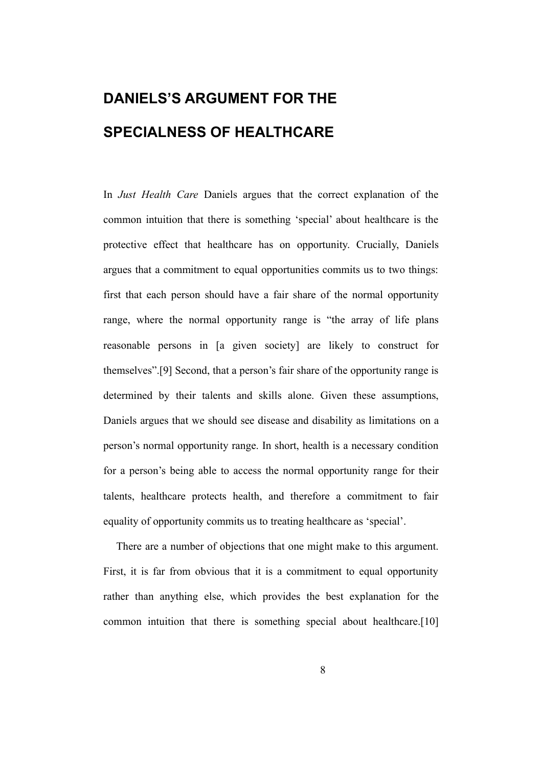# **DANIELS'S ARGUMENT FOR THE SPECIALNESS OF HEALTHCARE**

In *Just Health Care* Daniels argues that the correct explanation of the common intuition that there is something 'special' about healthcare is the protective effect that healthcare has on opportunity. Crucially, Daniels argues that a commitment to equal opportunities commits us to two things: first that each person should have a fair share of the normal opportunity range, where the normal opportunity range is "the array of life plans reasonable persons in [a given society] are likely to construct for themselves".[9] Second, that a person's fair share of the opportunity range is determined by their talents and skills alone. Given these assumptions, Daniels argues that we should see disease and disability as limitations on a person's normal opportunity range. In short, health is a necessary condition for a person's being able to access the normal opportunity range for their talents, healthcare protects health, and therefore a commitment to fair equality of opportunity commits us to treating healthcare as 'special'.

There are a number of objections that one might make to this argument. First, it is far from obvious that it is a commitment to equal opportunity rather than anything else, which provides the best explanation for the common intuition that there is something special about healthcare.[10]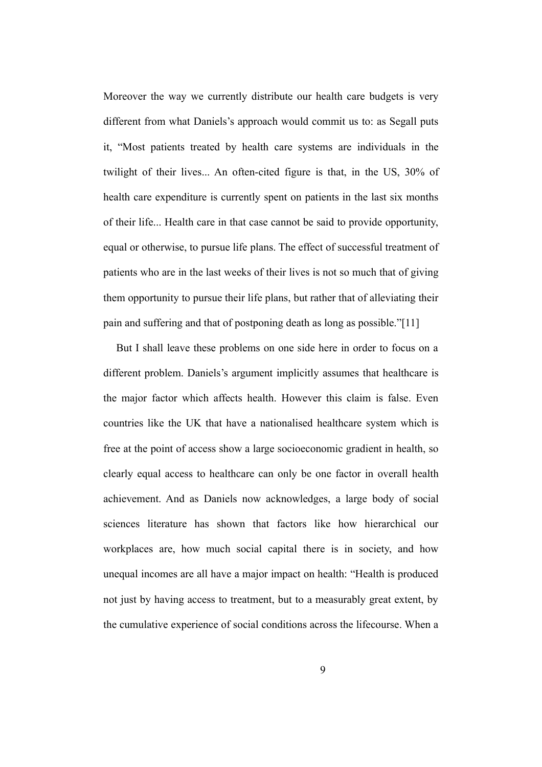Moreover the way we currently distribute our health care budgets is very different from what Daniels's approach would commit us to: as Segall puts it, "Most patients treated by health care systems are individuals in the twilight of their lives... An often-cited figure is that, in the US, 30% of health care expenditure is currently spent on patients in the last six months of their life... Health care in that case cannot be said to provide opportunity, equal or otherwise, to pursue life plans. The effect of successful treatment of patients who are in the last weeks of their lives is not so much that of giving them opportunity to pursue their life plans, but rather that of alleviating their pain and suffering and that of postponing death as long as possible."[11]

But I shall leave these problems on one side here in order to focus on a different problem. Daniels's argument implicitly assumes that healthcare is the major factor which affects health. However this claim is false. Even countries like the UK that have a nationalised healthcare system which is free at the point of access show a large socioeconomic gradient in health, so clearly equal access to healthcare can only be one factor in overall health achievement. And as Daniels now acknowledges, a large body of social sciences literature has shown that factors like how hierarchical our workplaces are, how much social capital there is in society, and how unequal incomes are all have a major impact on health: "Health is produced not just by having access to treatment, but to a measurably great extent, by the cumulative experience of social conditions across the lifecourse. When a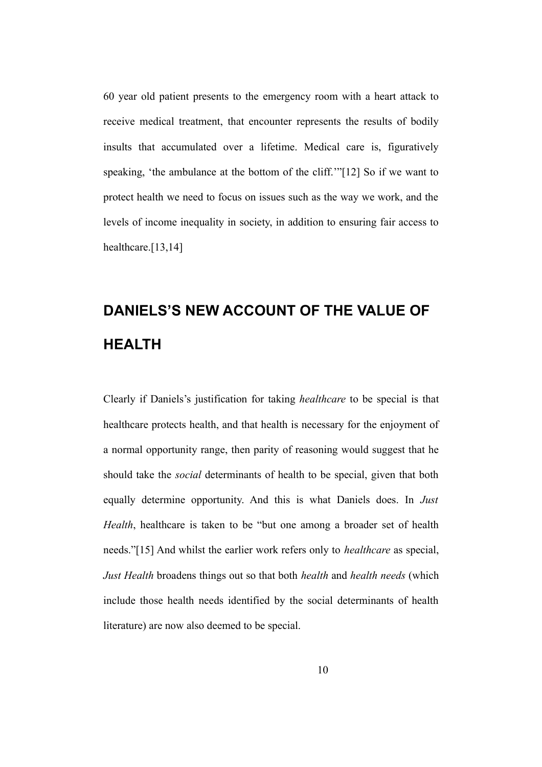60 year old patient presents to the emergency room with a heart attack to receive medical treatment, that encounter represents the results of bodily insults that accumulated over a lifetime. Medical care is, figuratively speaking, 'the ambulance at the bottom of the cliff.'"[12] So if we want to protect health we need to focus on issues such as the way we work, and the levels of income inequality in society, in addition to ensuring fair access to healthcare.[13,14]

# **DANIELS'S NEW ACCOUNT OF THE VALUE OF HEALTH**

Clearly if Daniels's justification for taking *healthcare* to be special is that healthcare protects health, and that health is necessary for the enjoyment of a normal opportunity range, then parity of reasoning would suggest that he should take the *social* determinants of health to be special, given that both equally determine opportunity. And this is what Daniels does. In *Just Health*, healthcare is taken to be "but one among a broader set of health needs."[15] And whilst the earlier work refers only to *healthcare* as special, *Just Health* broadens things out so that both *health* and *health needs* (which include those health needs identified by the social determinants of health literature) are now also deemed to be special.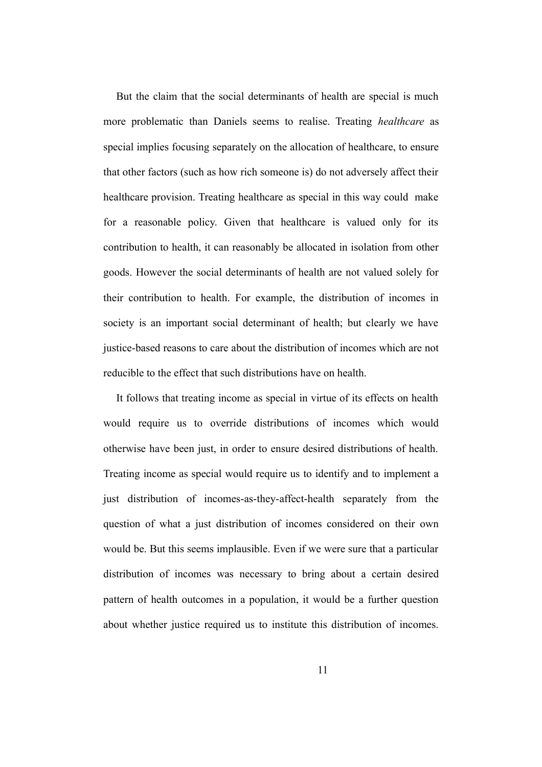But the claim that the social determinants of health are special is much more problematic than Daniels seems to realise. Treating *healthcare* as special implies focusing separately on the allocation of healthcare, to ensure that other factors (such as how rich someone is) do not adversely affect their healthcare provision. Treating healthcare as special in this way could make for a reasonable policy. Given that healthcare is valued only for its contribution to health, it can reasonably be allocated in isolation from other goods. However the social determinants of health are not valued solely for their contribution to health. For example, the distribution of incomes in society is an important social determinant of health; but clearly we have justice-based reasons to care about the distribution of incomes which are not reducible to the effect that such distributions have on health.

It follows that treating income as special in virtue of its effects on health would require us to override distributions of incomes which would otherwise have been just, in order to ensure desired distributions of health. Treating income as special would require us to identify and to implement a just distribution of incomes-as-they-affect-health separately from the question of what a just distribution of incomes considered on their own would be. But this seems implausible. Even if we were sure that a particular distribution of incomes was necessary to bring about a certain desired pattern of health outcomes in a population, it would be a further question about whether justice required us to institute this distribution of incomes.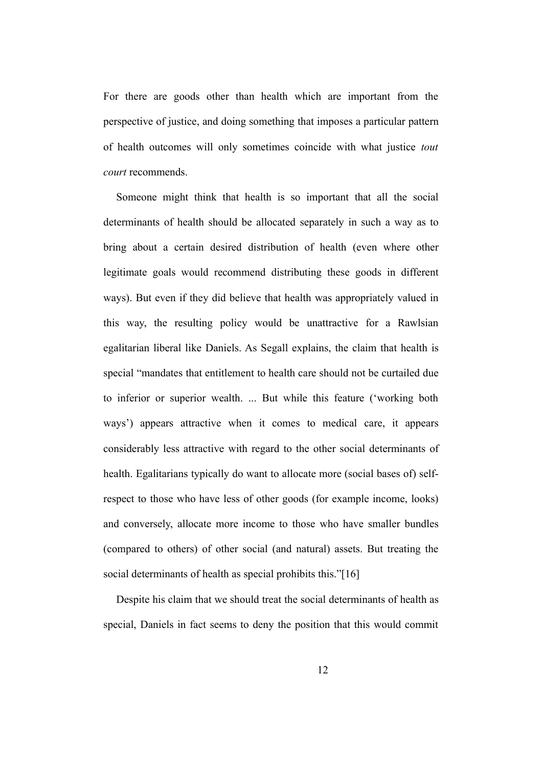For there are goods other than health which are important from the perspective of justice, and doing something that imposes a particular pattern of health outcomes will only sometimes coincide with what justice *tout court* recommends.

Someone might think that health is so important that all the social determinants of health should be allocated separately in such a way as to bring about a certain desired distribution of health (even where other legitimate goals would recommend distributing these goods in different ways). But even if they did believe that health was appropriately valued in this way, the resulting policy would be unattractive for a Rawlsian egalitarian liberal like Daniels. As Segall explains, the claim that health is special "mandates that entitlement to health care should not be curtailed due to inferior or superior wealth. ... But while this feature ('working both ways') appears attractive when it comes to medical care, it appears considerably less attractive with regard to the other social determinants of health. Egalitarians typically do want to allocate more (social bases of) selfrespect to those who have less of other goods (for example income, looks) and conversely, allocate more income to those who have smaller bundles (compared to others) of other social (and natural) assets. But treating the social determinants of health as special prohibits this."[16]

Despite his claim that we should treat the social determinants of health as special, Daniels in fact seems to deny the position that this would commit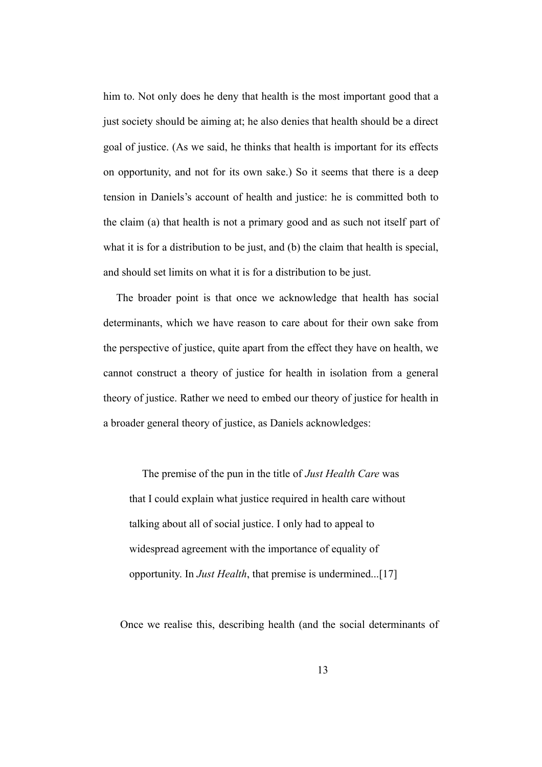him to. Not only does he deny that health is the most important good that a just society should be aiming at; he also denies that health should be a direct goal of justice. (As we said, he thinks that health is important for its effects on opportunity, and not for its own sake.) So it seems that there is a deep tension in Daniels's account of health and justice: he is committed both to the claim (a) that health is not a primary good and as such not itself part of what it is for a distribution to be just, and (b) the claim that health is special, and should set limits on what it is for a distribution to be just.

The broader point is that once we acknowledge that health has social determinants, which we have reason to care about for their own sake from the perspective of justice, quite apart from the effect they have on health, we cannot construct a theory of justice for health in isolation from a general theory of justice. Rather we need to embed our theory of justice for health in a broader general theory of justice, as Daniels acknowledges:

The premise of the pun in the title of *Just Health Care* was that I could explain what justice required in health care without talking about all of social justice. I only had to appeal to widespread agreement with the importance of equality of opportunity. In *Just Health*, that premise is undermined...[17]

Once we realise this, describing health (and the social determinants of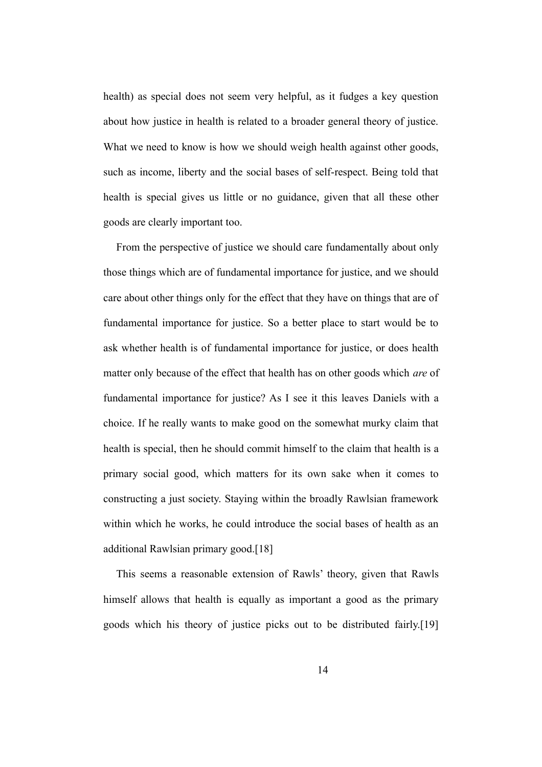health) as special does not seem very helpful, as it fudges a key question about how justice in health is related to a broader general theory of justice. What we need to know is how we should weigh health against other goods, such as income, liberty and the social bases of self-respect. Being told that health is special gives us little or no guidance, given that all these other goods are clearly important too.

From the perspective of justice we should care fundamentally about only those things which are of fundamental importance for justice, and we should care about other things only for the effect that they have on things that are of fundamental importance for justice. So a better place to start would be to ask whether health is of fundamental importance for justice, or does health matter only because of the effect that health has on other goods which *are* of fundamental importance for justice? As I see it this leaves Daniels with a choice. If he really wants to make good on the somewhat murky claim that health is special, then he should commit himself to the claim that health is a primary social good, which matters for its own sake when it comes to constructing a just society. Staying within the broadly Rawlsian framework within which he works, he could introduce the social bases of health as an additional Rawlsian primary good.[18]

This seems a reasonable extension of Rawls' theory, given that Rawls himself allows that health is equally as important a good as the primary goods which his theory of justice picks out to be distributed fairly.[19]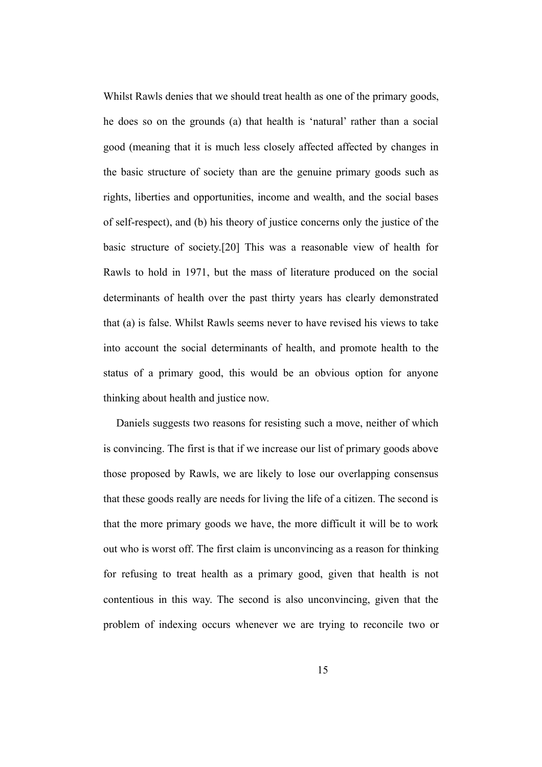Whilst Rawls denies that we should treat health as one of the primary goods, he does so on the grounds (a) that health is 'natural' rather than a social good (meaning that it is much less closely affected affected by changes in the basic structure of society than are the genuine primary goods such as rights, liberties and opportunities, income and wealth, and the social bases of self-respect), and (b) his theory of justice concerns only the justice of the basic structure of society.[20] This was a reasonable view of health for Rawls to hold in 1971, but the mass of literature produced on the social determinants of health over the past thirty years has clearly demonstrated that (a) is false. Whilst Rawls seems never to have revised his views to take into account the social determinants of health, and promote health to the status of a primary good, this would be an obvious option for anyone thinking about health and justice now.

Daniels suggests two reasons for resisting such a move, neither of which is convincing. The first is that if we increase our list of primary goods above those proposed by Rawls, we are likely to lose our overlapping consensus that these goods really are needs for living the life of a citizen. The second is that the more primary goods we have, the more difficult it will be to work out who is worst off. The first claim is unconvincing as a reason for thinking for refusing to treat health as a primary good, given that health is not contentious in this way. The second is also unconvincing, given that the problem of indexing occurs whenever we are trying to reconcile two or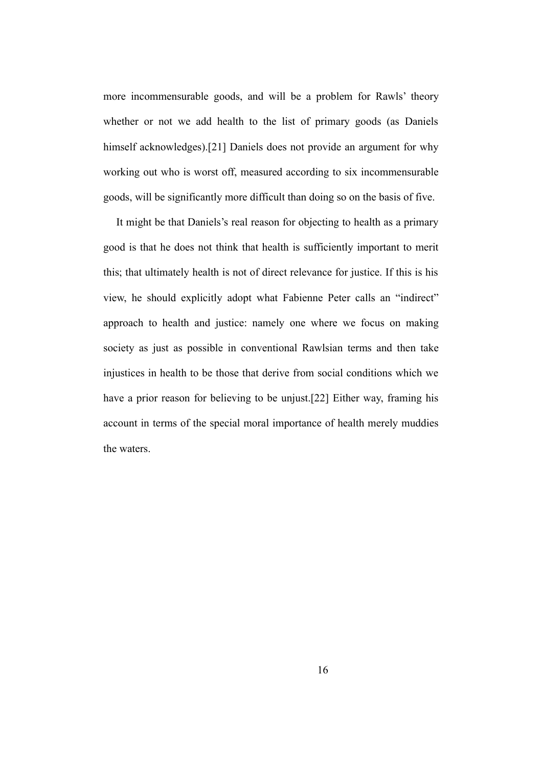more incommensurable goods, and will be a problem for Rawls' theory whether or not we add health to the list of primary goods (as Daniels himself acknowledges).[21] Daniels does not provide an argument for why working out who is worst off, measured according to six incommensurable goods, will be significantly more difficult than doing so on the basis of five.

It might be that Daniels's real reason for objecting to health as a primary good is that he does not think that health is sufficiently important to merit this; that ultimately health is not of direct relevance for justice. If this is his view, he should explicitly adopt what Fabienne Peter calls an "indirect" approach to health and justice: namely one where we focus on making society as just as possible in conventional Rawlsian terms and then take injustices in health to be those that derive from social conditions which we have a prior reason for believing to be unjust.[22] Either way, framing his account in terms of the special moral importance of health merely muddies the waters.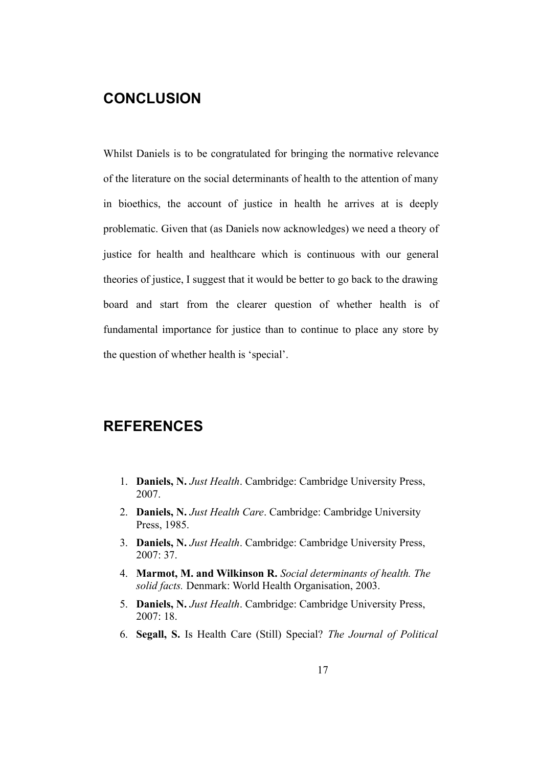## **CONCLUSION**

Whilst Daniels is to be congratulated for bringing the normative relevance of the literature on the social determinants of health to the attention of many in bioethics, the account of justice in health he arrives at is deeply problematic. Given that (as Daniels now acknowledges) we need a theory of justice for health and healthcare which is continuous with our general theories of justice, I suggest that it would be better to go back to the drawing board and start from the clearer question of whether health is of fundamental importance for justice than to continue to place any store by the question of whether health is 'special'.

#### **REFERENCES**

- 1. **Daniels, N.** *Just Health*. Cambridge: Cambridge University Press, 2007.
- 2. **Daniels, N.** *Just Health Care*. Cambridge: Cambridge University Press, 1985.
- 3. **Daniels, N.** *Just Health*. Cambridge: Cambridge University Press, 2007: 37.
- 4. **Marmot, M. and Wilkinson R.** *Social determinants of health. The solid facts.* Denmark: World Health Organisation, 2003.
- 5. **Daniels, N.** *Just Health*. Cambridge: Cambridge University Press,  $2007 \cdot 18$
- 6. **Segall, S.** Is Health Care (Still) Special? *The Journal of Political*